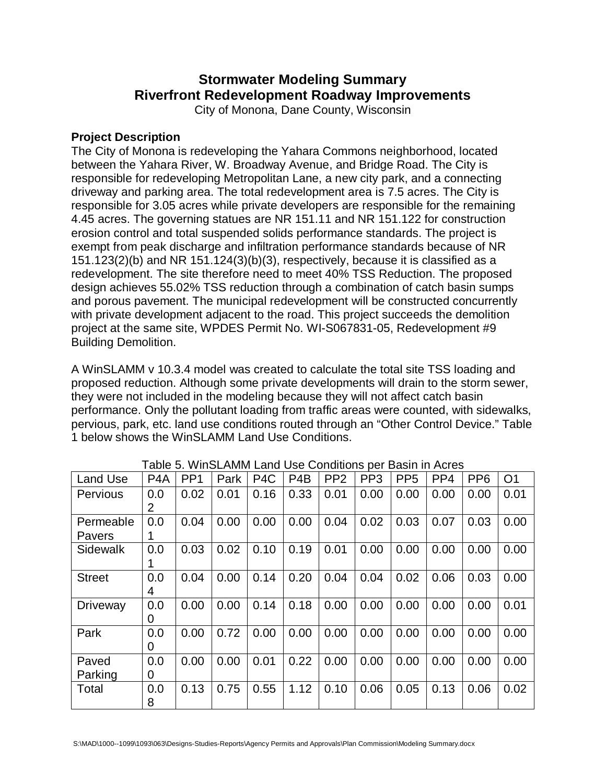## **Stormwater Modeling Summary Riverfront Redevelopment Roadway Improvements**

City of Monona, Dane County, Wisconsin

## **Project Description**

The City of Monona is redeveloping the Yahara Commons neighborhood, located between the Yahara River, W. Broadway Avenue, and Bridge Road. The City is responsible for redeveloping Metropolitan Lane, a new city park, and a connecting driveway and parking area. The total redevelopment area is 7.5 acres. The City is responsible for 3.05 acres while private developers are responsible for the remaining 4.45 acres. The governing statues are NR 151.11 and NR 151.122 for construction erosion control and total suspended solids performance standards. The project is exempt from peak discharge and infiltration performance standards because of NR 151.123(2)(b) and NR 151.124(3)(b)(3), respectively, because it is classified as a redevelopment. The site therefore need to meet 40% TSS Reduction. The proposed design achieves 55.02% TSS reduction through a combination of catch basin sumps and porous pavement. The municipal redevelopment will be constructed concurrently with private development adjacent to the road. This project succeeds the demolition project at the same site, WPDES Permit No. WI-S067831-05, Redevelopment #9 Building Demolition.

A WinSLAMM v 10.3.4 model was created to calculate the total site TSS loading and proposed reduction. Although some private developments will drain to the storm sewer, they were not included in the modeling because they will not affect catch basin performance. Only the pollutant loading from traffic areas were counted, with sidewalks, pervious, park, etc. land use conditions routed through an "Other Control Device." Table 1 below shows the WinSLAMM Land Use Conditions.

| <b>Land Use</b>            | P <sub>4</sub> A | PP <sub>1</sub> | Park | P <sub>4</sub> C | P <sub>4</sub> B | PP <sub>2</sub> | <b>PV</b><br>PP <sub>3</sub> | PP <sub>5</sub> | PP <sub>4</sub> | PP <sub>6</sub> | O <sub>1</sub> |
|----------------------------|------------------|-----------------|------|------------------|------------------|-----------------|------------------------------|-----------------|-----------------|-----------------|----------------|
| <b>Pervious</b>            | 0.0<br>2         | 0.02            | 0.01 | 0.16             | 0.33             | 0.01            | 0.00                         | 0.00            | 0.00            | 0.00            | 0.01           |
| Permeable<br><b>Pavers</b> | 0.0              | 0.04            | 0.00 | 0.00             | 0.00             | 0.04            | 0.02                         | 0.03            | 0.07            | 0.03            | 0.00           |
| Sidewalk                   | 0.0              | 0.03            | 0.02 | 0.10             | 0.19             | 0.01            | 0.00                         | 0.00            | 0.00            | 0.00            | 0.00           |
| <b>Street</b>              | 0.0<br>4         | 0.04            | 0.00 | 0.14             | 0.20             | 0.04            | 0.04                         | 0.02            | 0.06            | 0.03            | 0.00           |
| <b>Driveway</b>            | 0.0<br>0         | 0.00            | 0.00 | 0.14             | 0.18             | 0.00            | 0.00                         | 0.00            | 0.00            | 0.00            | 0.01           |
| Park                       | 0.0<br>0         | 0.00            | 0.72 | 0.00             | 0.00             | 0.00            | 0.00                         | 0.00            | 0.00            | 0.00            | 0.00           |
| Paved<br>Parking           | 0.0<br>0         | 0.00            | 0.00 | 0.01             | 0.22             | 0.00            | 0.00                         | 0.00            | 0.00            | 0.00            | 0.00           |
| Total                      | 0.0<br>8         | 0.13            | 0.75 | 0.55             | 1.12             | 0.10            | 0.06                         | 0.05            | 0.13            | 0.06            | 0.02           |

Table 5. WinSLAMM Land Use Conditions per Basin in Acres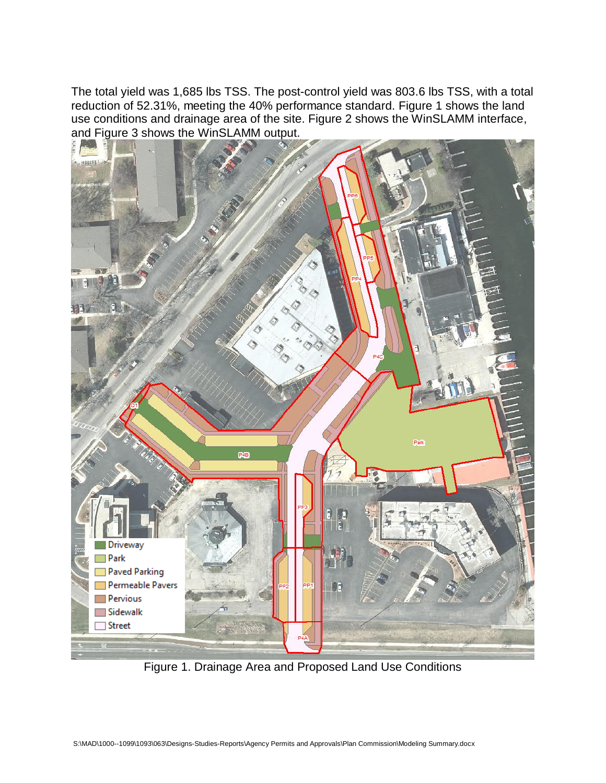The total yield was 1,685 lbs TSS. The post-control yield was 803.6 lbs TSS, with a total reduction of 52.31%, meeting the 40% performance standard. Figure 1 shows the land use conditions and drainage area of the site. Figure 2 shows the WinSLAMM interface, and Figure 3 shows the WinSLAMM output.



Figure 1. Drainage Area and Proposed Land Use Conditions